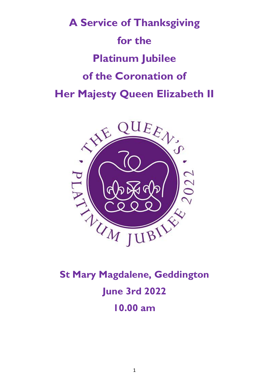



**St Mary Magdalene, Geddington June 3rd 2022 10.00 am**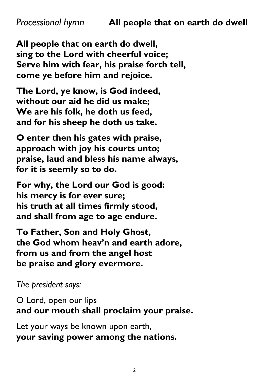**All people that on earth do dwell, sing to the Lord with cheerful voice; Serve him with fear, his praise forth tell, come ye before him and rejoice.**

**The Lord, ye know, is God indeed, without our aid he did us make; We are his folk, he doth us feed, and for his sheep he doth us take.**

**O enter then his gates with praise, approach with joy his courts unto; praise, laud and bless his name always, for it is seemly so to do.**

**For why, the Lord our God is good: his mercy is for ever sure; his truth at all times firmly stood, and shall from age to age endure.**

**To Father, Son and Holy Ghost, the God whom heav'n and earth adore, from us and from the angel host be praise and glory evermore.**

*The president says:*

O Lord, open our lips **and our mouth shall proclaim your praise.** 

Let your ways be known upon earth, **your saving power among the nations.**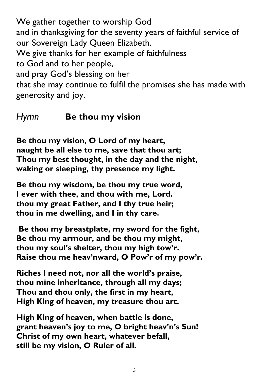We gather together to worship God and in thanksgiving for the seventy years of faithful service of our Sovereign Lady Queen Elizabeth. We give thanks for her example of faithfulness to God and to her people, and pray God's blessing on her that she may continue to fulfil the promises she has made with generosity and joy.

### *Hymn* **Be thou my vision**

**Be thou my vision, O Lord of my heart, naught be all else to me, save that thou art; Thou my best thought, in the day and the night, waking or sleeping, thy presence my light.**

**Be thou my wisdom, be thou my true word, I ever with thee, and thou with me, Lord. thou my great Father, and I thy true heir; thou in me dwelling, and I in thy care.**

**Be thou my breastplate, my sword for the fight, Be thou my armour, and be thou my might, thou my soul's shelter, thou my high tow'r. Raise thou me heav'nward, O Pow'r of my pow'r.**

**Riches I need not, nor all the world's praise, thou mine inheritance, through all my days; Thou and thou only, the first in my heart, High King of heaven, my treasure thou art.**

**High King of heaven, when battle is done, grant heaven's joy to me, O bright heav'n's Sun! Christ of my own heart, whatever befall, still be my vision, O Ruler of all.**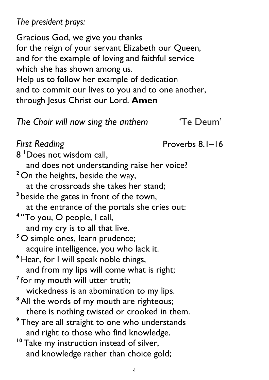*The president prays:* 

Gracious God, we give you thanks for the reign of your servant Elizabeth our Queen, and for the example of loving and faithful service which she has shown among us. Help us to follow her example of dedication and to commit our lives to you and to one another, through Jesus Christ our Lord. **Amen**

## *The Choir will now sing the anthem* 'Te Deum'

**First Reading**  Proverbs 8.1–16 8 <sup>1</sup>Does not wisdom call, and does not understanding raise her voice? <sup>2</sup> On the heights, beside the way, at the crossroads she takes her stand; <sup>3</sup> beside the gates in front of the town, at the entrance of the portals she cries out: **4** "To you, O people, I call, and my cry is to all that live. **<sup>5</sup>** O simple ones, learn prudence; acquire intelligence, you who lack it. **<sup>6</sup>** Hear, for I will speak noble things, and from my lips will come what is right; <sup>7</sup> for my mouth will utter truth; wickedness is an abomination to my lips. **<sup>8</sup>**All the words of my mouth are righteous; there is nothing twisted or crooked in them. <sup>9</sup> They are all straight to one who understands and right to those who find knowledge. <sup>10</sup> Take my instruction instead of silver, and knowledge rather than choice gold;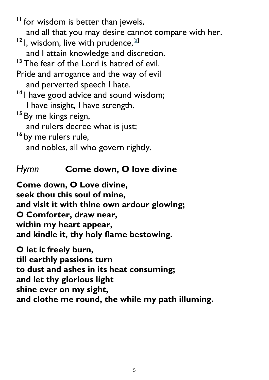**<sup>11</sup>** for wisdom is better than jewels, and all that you may desire cannot compare with her.

- <sup>12</sup> I, wisdom, live with prudence, <sup>[\[a\]](https://www.biblegateway.com/passage/?search=proverbs+8%3A1-16&version=NRSV#fen-NRSV-16615a)</sup> and I attain knowledge and discretion.
- <sup>13</sup> The fear of the Lord is hatred of evil.
- Pride and arrogance and the way of evil and perverted speech I hate.
- **<sup>14</sup>** I have good advice and sound wisdom;
	- I have insight, I have strength.
- **<sup>15</sup>** By me kings reign,
	- and rulers decree what is just;
- **<sup>16</sup>** by me rulers rule, and nobles, all who govern rightly.

# *Hymn* **Come down, O love divine**

**Come down, O Love divine, seek thou this soul of mine, and visit it with thine own ardour glowing; O Comforter, draw near, within my heart appear, and kindle it, thy holy flame bestowing.**

**O let it freely burn, till earthly passions turn to dust and ashes in its heat consuming; and let thy glorious light shine ever on my sight, and clothe me round, the while my path illuming.**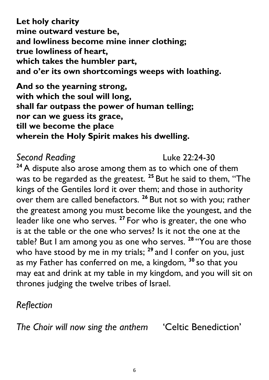**Let holy charity mine outward vesture be, and lowliness become mine inner clothing; true lowliness of heart, which takes the humbler part, and o'er its own shortcomings weeps with loathing.**

**And so the yearning strong, with which the soul will long, shall far outpass the power of human telling; nor can we guess its grace, till we become the place wherein the Holy Spirit makes his dwelling.**

# **Second Reading Construction Construction Construction Construction Construction Construction Construction Construction Construction Construction Construction Construction Construction Construction Construction Constructio**

**<sup>24</sup>**A dispute also arose among them as to which one of them was to be regarded as the greatest. **<sup>25</sup>** But he said to them, "The kings of the Gentiles lord it over them; and those in authority over them are called benefactors. **<sup>26</sup>** But not so with you; rather the greatest among you must become like the youngest, and the leader like one who serves. **<sup>27</sup>** For who is greater, the one who is at the table or the one who serves? Is it not the one at the table? But I am among you as one who serves. **<sup>28</sup>** "You are those who have stood by me in my trials; **<sup>29</sup>** and I confer on you, just as my Father has conferred on me, a kingdom, **<sup>30</sup>** so that you may eat and drink at my table in my kingdom, and you will sit on thrones judging the twelve tribes of Israel.

# *Reflection*

*The Choir will now sing the anthem* 'Celtic Benediction'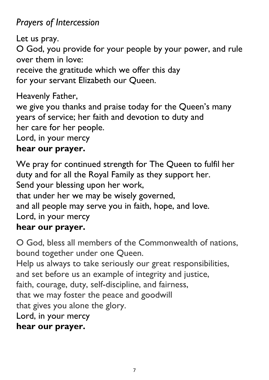# *Prayers of Intercession*

Let us pray.

O God, you provide for your people by your power, and rule over them in love:

receive the gratitude which we offer this day for your servant Elizabeth our Queen.

Heavenly Father,

we give you thanks and praise today for the Queen's many years of service; her faith and devotion to duty and her care for her people.

Lord, in your mercy

## **hear our prayer.**

We pray for continued strength for The Queen to fulfil her duty and for all the Royal Family as they support her. Send your blessing upon her work, that under her we may be wisely governed, and all people may serve you in faith, hope, and love. Lord, in your mercy **hear our prayer.** 

O God, bless all members of the Commonwealth of nations, bound together under one Queen. Help us always to take seriously our great responsibilities, and set before us an example of integrity and justice, faith, courage, duty, self-discipline, and fairness, that we may foster the peace and goodwill that gives you alone the glory. Lord, in your mercy **hear our prayer.**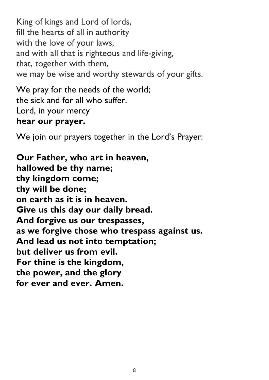King of kings and Lord of lords, fill the hearts of all in authority with the love of your laws, and with all that is righteous and life-giving, that, together with them, we may be wise and worthy stewards of your gifts.

We pray for the needs of the world; the sick and for all who suffer. Lord, in your mercy **hear our prayer.** 

We join our prayers together in the Lord's Prayer:

**Our Father, who art in heaven, hallowed be thy name; thy kingdom come; thy will be done; on earth as it is in heaven. Give us this day our daily bread. And forgive us our trespasses, as we forgive those who trespass against us. And lead us not into temptation; but deliver us from evil. For thine is the kingdom, the power, and the glory for ever and ever. Amen.**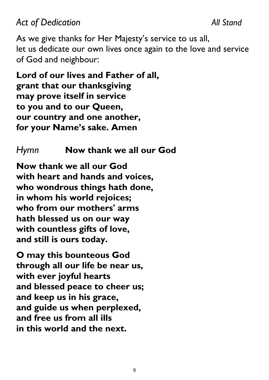# *Act of Dedication All Stand*

As we give thanks for Her Majesty's service to us all, let us dedicate our own lives once again to the love and service of God and neighbour:

**Lord of our lives and Father of all, grant that our thanksgiving may prove itself in service to you and to our Queen, our country and one another, for your Name's sake. Amen**

## *Hymn* **Now thank we all our God**

**Now thank we all our God with heart and hands and voices, who wondrous things hath done, in whom his world rejoices; who from our mothers' arms hath blessed us on our way with countless gifts of love, and still is ours today.**

**O may this bounteous God through all our life be near us, with ever joyful hearts and blessed peace to cheer us; and keep us in his grace, and guide us when perplexed, and free us from all ills in this world and the next.**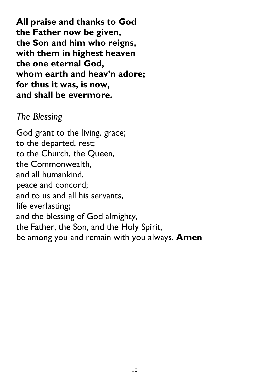**All praise and thanks to God the Father now be given, the Son and him who reigns, with them in highest heaven the one eternal God, whom earth and heav'n adore; for thus it was, is now, and shall be evermore.**

# *The Blessing*

God grant to the living, grace; to the departed, rest; to the Church, the Queen, the Commonwealth, and all humankind, peace and concord; and to us and all his servants, life everlasting; and the blessing of God almighty, the Father, the Son, and the Holy Spirit, be among you and remain with you always. **Amen**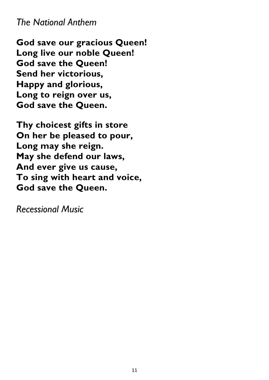## *The National Anthem*

**God save our gracious Queen! Long live our noble Queen! God save the Queen! Send her victorious, Happy and glorious, Long to reign over us, God save the Queen.**

**Thy choicest gifts in store On her be pleased to pour, Long may she reign. May she defend our laws, And ever give us cause, To sing with heart and voice, God save the Queen.**

*Recessional Music*